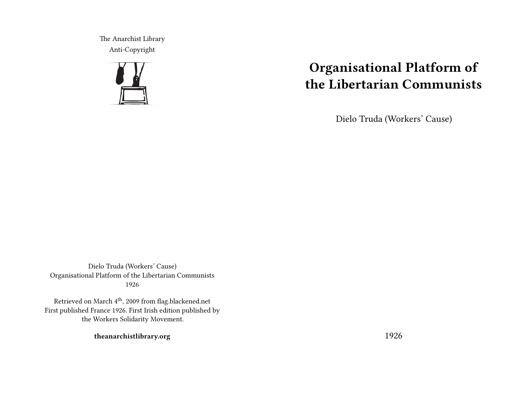The Anarchist Library Anti-Copyright



# **Organisational Platform of the Libertarian Communists**

Dielo Truda (Workers' Cause)

Dielo Truda (Workers' Cause) Organisational Platform of the Libertarian Communists 1926

Retrieved on March 4<sup>th</sup>, 2009 from flag.blackened.net First published France 1926. First Irish edition published by the Workers Solidarity Movement.

**theanarchistlibrary.org**

1926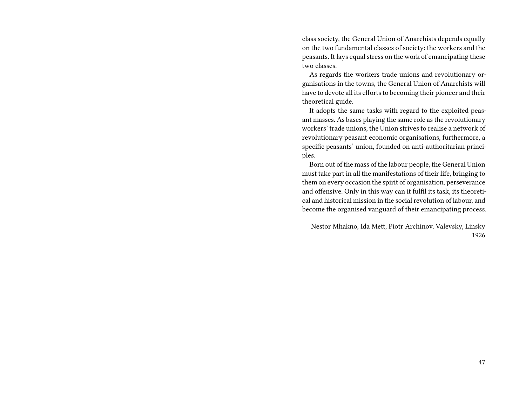class society, the General Union of Anarchists depends equally on the two fundamental classes of society: the workers and the peasants. It lays equal stress on the work of emancipating these two classes.

As regards the workers trade unions and revolutionary organisations in the towns, the General Union of Anarchists will have to devote all its efforts to becoming their pioneer and their theoretical guide.

It adopts the same tasks with regard to the exploited peasant masses. As bases playing the same role as the revolutionary workers' trade unions, the Union strives to realise a network of revolutionary peasant economic organisations, furthermore, a specific peasants' union, founded on anti-authoritarian principles.

Born out of the mass of the labour people, the General Union must take part in all the manifestations of their life, bringing to them on every occasion the spirit of organisation, perseverance and offensive. Only in this way can it fulfil its task, its theoretical and historical mission in the social revolution of labour, and become the organised vanguard of their emancipating process.

Nestor Mhakno, Ida Mett, Piotr Archinov, Valevsky, Linsky 1926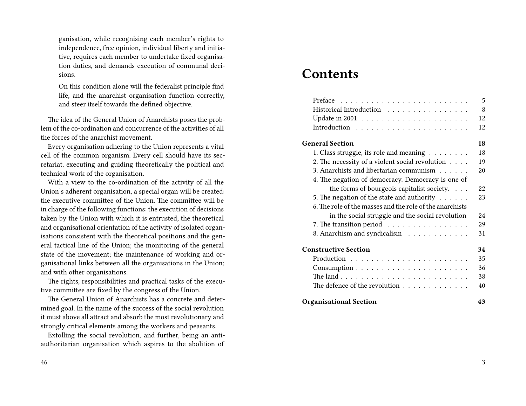ganisation, while recognising each member's rights to independence, free opinion, individual liberty and initiative, requires each member to undertake fixed organisation duties, and demands execution of communal decisions.

On this condition alone will the federalist principle find life, and the anarchist organisation function correctly, and steer itself towards the defined objective.

The idea of the General Union of Anarchists poses the problem of the co-ordination and concurrence of the activities of all the forces of the anarchist movement.

Every organisation adhering to the Union represents a vital cell of the common organism. Every cell should have its secretariat, executing and guiding theoretically the political and technical work of the organisation.

With a view to the co-ordination of the activity of all the Union's adherent organisation, a special organ will be created: the executive committee of the Union. The committee will be in charge of the following functions: the execution of decisions taken by the Union with which it is entrusted; the theoretical and organisational orientation of the activity of isolated organisations consistent with the theoretical positions and the general tactical line of the Union; the monitoring of the general state of the movement; the maintenance of working and organisational links between all the organisations in the Union; and with other organisations.

The rights, responsibilities and practical tasks of the executive committee are fixed by the congress of the Union.

The General Union of Anarchists has a concrete and determined goal. In the name of the success of the social revolution it must above all attract and absorb the most revolutionary and strongly critical elements among the workers and peasants.

Extolling the social revolution, and further, being an antiauthoritarian organisation which aspires to the abolition of

# **Contents**

|                                                                   | 5  |
|-------------------------------------------------------------------|----|
| Historical Introduction                                           | 8  |
| Update in 2001 $\ldots \ldots \ldots \ldots \ldots \ldots \ldots$ | 12 |
|                                                                   | 12 |
| <b>General Section</b>                                            | 18 |
| 1. Class struggle, its role and meaning $\dots \dots$             | 18 |
| 2. The necessity of a violent social revolution                   | 19 |
| 3. Anarchists and libertarian communism                           | 20 |
| 4. The negation of democracy. Democracy is one of                 |    |
| the forms of bourgeois capitalist society.                        | 22 |
| 5. The negation of the state and authority $\dots \dots$          | 23 |
| 6. The role of the masses and the role of the anarchists          |    |
| in the social struggle and the social revolution                  | 24 |
| 7. The transition period                                          | 29 |
| 8. Anarchism and syndicalism                                      | 31 |
| <b>Constructive Section</b>                                       | 34 |
|                                                                   | 35 |
|                                                                   | 36 |
|                                                                   | 38 |
| The defence of the revolution                                     | 40 |
| <b>Organisational Section</b>                                     | 43 |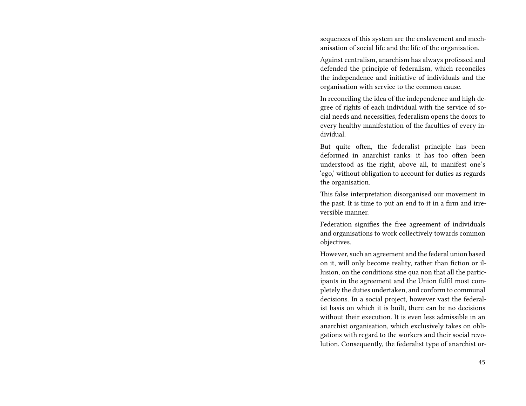sequences of this system are the enslavement and mechanisation of social life and the life of the organisation.

Against centralism, anarchism has always professed and defended the principle of federalism, which reconciles the independence and initiative of individuals and the organisation with service to the common cause.

In reconciling the idea of the independence and high degree of rights of each individual with the service of social needs and necessities, federalism opens the doors to every healthy manifestation of the faculties of every individual.

But quite often, the federalist principle has been deformed in anarchist ranks: it has too often been understood as the right, above all, to manifest one's 'ego,' without obligation to account for duties as regards the organisation.

This false interpretation disorganised our movement in the past. It is time to put an end to it in a firm and irreversible manner.

Federation signifies the free agreement of individuals and organisations to work collectively towards common objectives.

However, such an agreement and the federal union based on it, will only become reality, rather than fiction or illusion, on the conditions sine qua non that all the participants in the agreement and the Union fulfil most completely the duties undertaken, and conform to communal decisions. In a social project, however vast the federalist basis on which it is built, there can be no decisions without their execution. It is even less admissible in an anarchist organisation, which exclusively takes on obligations with regard to the workers and their social revolution. Consequently, the federalist type of anarchist or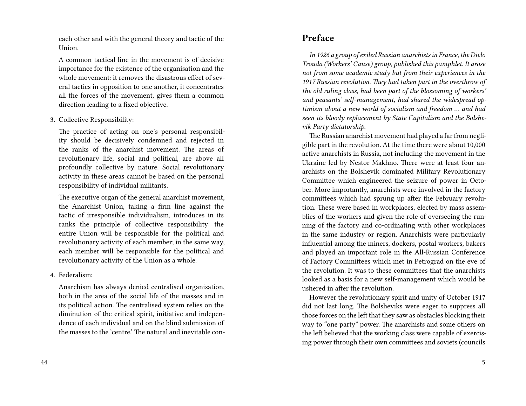each other and with the general theory and tactic of the Union.

A common tactical line in the movement is of decisive importance for the existence of the organisation and the whole movement: it removes the disastrous effect of several tactics in opposition to one another, it concentrates all the forces of the movement, gives them a common direction leading to a fixed objective.

3. Collective Responsibility:

The practice of acting on one's personal responsibility should be decisively condemned and rejected in the ranks of the anarchist movement. The areas of revolutionary life, social and political, are above all profoundly collective by nature. Social revolutionary activity in these areas cannot be based on the personal responsibility of individual militants.

The executive organ of the general anarchist movement, the Anarchist Union, taking a firm line against the tactic of irresponsible individualism, introduces in its ranks the principle of collective responsibility: the entire Union will be responsible for the political and revolutionary activity of each member; in the same way, each member will be responsible for the political and revolutionary activity of the Union as a whole.

4. Federalism:

Anarchism has always denied centralised organisation, both in the area of the social life of the masses and in its political action. The centralised system relies on the diminution of the critical spirit, initiative and independence of each individual and on the blind submission of the masses to the 'centre.' The natural and inevitable con-

### **Preface**

*In 1926 a group of exiled Russian anarchists in France, the Dielo Trouda (Workers' Cause) group, published this pamphlet. It arose not from some academic study but from their experiences in the 1917 Russian revolution. They had taken part in the overthrow of the old ruling class, had been part of the blossoming of workers' and peasants' self-management, had shared the widespread optimism about a new world of socialism and freedom … and had seen its bloody replacement by State Capitalism and the Bolshevik Party dictatorship.*

The Russian anarchist movement had played a far from negligible part in the revolution. At the time there were about 10,000 active anarchists in Russia, not including the movement in the Ukraine led by Nestor Makhno. There were at least four anarchists on the Bolshevik dominated Military Revolutionary Committee which engineered the seizure of power in October. More importantly, anarchists were involved in the factory committees which had sprung up after the February revolution. These were based in workplaces, elected by mass assemblies of the workers and given the role of overseeing the running of the factory and co-ordinating with other workplaces in the same industry or region. Anarchists were particularly influential among the miners, dockers, postal workers, bakers and played an important role in the All-Russian Conference of Factory Committees which met in Petrograd on the eve of the revolution. It was to these committees that the anarchists looked as a basis for a new self-management which would be ushered in after the revolution.

However the revolutionary spirit and unity of October 1917 did not last long. The Bolsheviks were eager to suppress all those forces on the left that they saw as obstacles blocking their way to "one party" power. The anarchists and some others on the left believed that the working class were capable of exercising power through their own committees and soviets (councils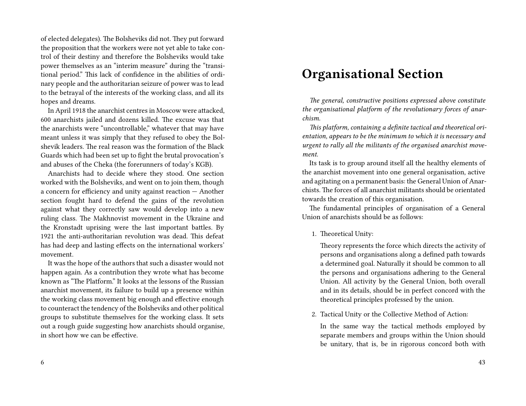of elected delegates). The Bolsheviks did not. They put forward the proposition that the workers were not yet able to take control of their destiny and therefore the Bolsheviks would take power themselves as an "interim measure" during the "transitional period." This lack of confidence in the abilities of ordinary people and the authoritarian seizure of power was to lead to the betrayal of the interests of the working class, and all its hopes and dreams.

In April 1918 the anarchist centres in Moscow were attacked, 600 anarchists jailed and dozens killed. The excuse was that the anarchists were "uncontrollable," whatever that may have meant unless it was simply that they refused to obey the Bolshevik leaders. The real reason was the formation of the Black Guards which had been set up to fight the brutal provocation's and abuses of the Cheka (the forerunners of today's KGB).

Anarchists had to decide where they stood. One section worked with the Bolsheviks, and went on to join them, though a concern for efficiency and unity against reaction — Another section fought hard to defend the gains of the revolution against what they correctly saw would develop into a new ruling class. The Makhnovist movement in the Ukraine and the Kronstadt uprising were the last important battles. By 1921 the anti-authoritarian revolution was dead. This defeat has had deep and lasting effects on the international workers' movement.

It was the hope of the authors that such a disaster would not happen again. As a contribution they wrote what has become known as "The Platform." It looks at the lessons of the Russian anarchist movement, its failure to build up a presence within the working class movement big enough and effective enough to counteract the tendency of the Bolsheviks and other political groups to substitute themselves for the working class. It sets out a rough guide suggesting how anarchists should organise, in short how we can be effective.

# **Organisational Section**

*The general, constructive positions expressed above constitute the organisational platform of the revolutionary forces of anarchism.*

*This platform, containing a definite tactical and theoretical orientation, appears to be the minimum to which it is necessary and urgent to rally all the militants of the organised anarchist movement.*

Its task is to group around itself all the healthy elements of the anarchist movement into one general organisation, active and agitating on a permanent basis: the General Union of Anarchists. The forces of all anarchist militants should be orientated towards the creation of this organisation.

The fundamental principles of organisation of a General Union of anarchists should be as follows:

1. Theoretical Unity:

Theory represents the force which directs the activity of persons and organisations along a defined path towards a determined goal. Naturally it should be common to all the persons and organisations adhering to the General Union. All activity by the General Union, both overall and in its details, should be in perfect concord with the theoretical principles professed by the union.

2. Tactical Unity or the Collective Method of Action:

In the same way the tactical methods employed by separate members and groups within the Union should be unitary, that is, be in rigorous concord both with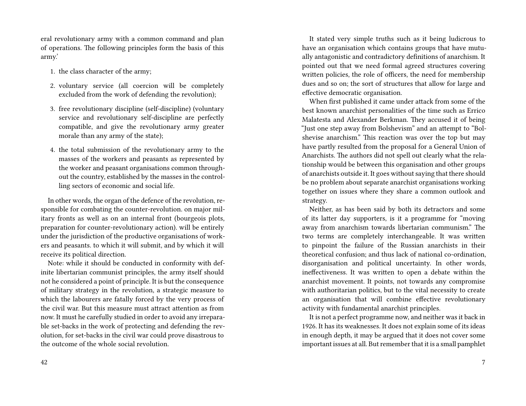eral revolutionary army with a common command and plan of operations. The following principles form the basis of this army.'

- 1. the class character of the army;
- 2. voluntary service (all coercion will be completely excluded from the work of defending the revolution);
- 3. free revolutionary discipline (self-discipline) (voluntary service and revolutionary self-discipline are perfectly compatible, and give the revolutionary army greater morale than any army of the state);
- 4. the total submission of the revolutionary army to the masses of the workers and peasants as represented by the worker and peasant organisations common throughout the country, established by the masses in the controlling sectors of economic and social life.

In other words, the organ of the defence of the revolution, responsible for combating the counter-revolution. on major military fronts as well as on an internal front (bourgeois plots, preparation for counter-revolutionary action). will be entirely under the jurisdiction of the productive organisations of workers and peasants. to which it will submit, and by which it will receive its political direction.

Note: while it should be conducted in conformity with definite libertarian communist principles, the army itself should not he considered a point of principle. It is but the consequence of military strategy in the revolution, a strategic measure to which the labourers are fatally forced by the very process of the civil war. But this measure must attract attention as from now. It must he carefully studied in order to avoid any irreparable set-backs in the work of protecting and defending the revolution, for set-backs in the civil war could prove disastrous to the outcome of the whole social revolution.

It stated very simple truths such as it being ludicrous to have an organisation which contains groups that have mutually antagonistic and contradictory definitions of anarchism. It pointed out that we need formal agreed structures covering written policies, the role of officers, the need for membership dues and so on; the sort of structures that allow for large and effective democratic organisation.

When first published it came under attack from some of the best known anarchist personalities of the time such as Errico Malatesta and Alexander Berkman. They accused it of being "Just one step away from Bolshevism" and an attempt to "Bolshevise anarchism." This reaction was over the top but may have partly resulted from the proposal for a General Union of Anarchists. The authors did not spell out clearly what the relationship would be between this organisation and other groups of anarchists outside it. It goes without saying that there should be no problem about separate anarchist organisations working together on issues where they share a common outlook and strategy.

Neither, as has been said by both its detractors and some of its latter day supporters, is it a programme for "moving away from anarchism towards libertarian communism." The two terms are completely interchangeable. It was written to pinpoint the failure of the Russian anarchists in their theoretical confusion; and thus lack of national co-ordination, disorganisation and political uncertainty. In other words, ineffectiveness. It was written to open a debate within the anarchist movement. It points, not towards any compromise with authoritarian politics, but to the vital necessity to create an organisation that will combine effective revolutionary activity with fundamental anarchist principles.

It is not a perfect programme now, and neither was it back in 1926. It has its weaknesses. It does not explain some of its ideas in enough depth, it may be argued that it does not cover some important issues at all. But remember that it is a small pamphlet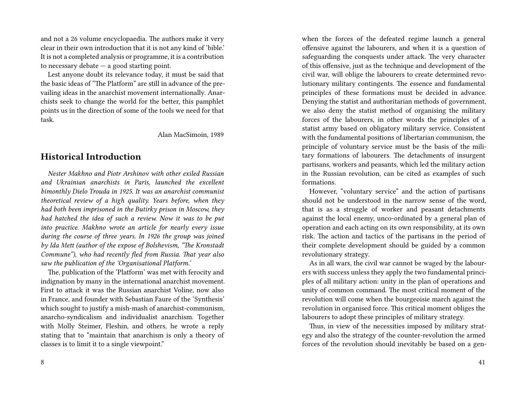and not a 26 volume encyclopaedia. The authors make it very clear in their own introduction that it is not any kind of 'bible.' It is not a completed analysis or programme, it is a contribution to necessary debate — a good starting point.

Lest anyone doubt its relevance today, it must be said that the basic ideas of "The Platform" are still in advance of the prevailing ideas in the anarchist movement internationally. Anarchists seek to change the world for the better, this pamphlet points us in the direction of some of the tools we need for that task.

Alan MacSimoin, 1989

#### **Historical Introduction**

*Nester Makhno and Piotr Arshinov with other exiled Russian and Ukrainian anarchists in Paris, launched the excellent bimonthly Dielo Trouda in 1925. It was an anarchist communist theoretical review of a high quality. Years before, when they had both been imprisoned in the Butirky prison in Moscow, they had hatched the idea of such a review. Now it was to be put into practice. Makhno wrote an article for nearly every issue during the course of three years. In 1926 the group was joined by Ida Mett (author of the expose of Bolshevism, "The Kronstadt Commune"), who had recently fled from Russia. That year also saw the publication of the 'Organisational Platform.'*

The, publication of the 'Platform' was met with ferocity and indignation by many in the international anarchist movement. First to attack it was the Russian anarchist Voline, now also in France, and founder with Sebastian Faure of the 'Synthesis' which sought to justify a mish-mash of anarchist-communism, anarcho-syndicalism and individualist anarchism. Together with Molly Steimer, Fleshin, and others, he wrote a reply stating that to "maintain that anarchism is only a theory of classes is to limit it to a single viewpoint."

8

when the forces of the defeated regime launch a general offensive against the labourers, and when it is a question of safeguarding the conquests under attack. The very character of this offensive, just as the technique and development of the civil war, will oblige the labourers to create determined revolutionary military contingents. The essence and fundamental principles of these formations must be decided in advance. Denying the statist and authoritarian methods of government, we also deny the statist method of organising the military forces of the labourers, in other words the principles of a statist army based on obligatory military service. Consistent with the fundamental positions of libertarian communism, the principle of voluntary service must be the basis of the military formations of labourers. The detachments of insurgent partisans, workers and peasants, which led the military action in the Russian revolution, can be cited as examples of such formations.

However, "voluntary service" and the action of partisans should not be understood in the narrow sense of the word, that is as a struggle of worker and peasant detachments against the local enemy, unco-ordinated by a general plan of operation and each acting on its own responsibility, at its own risk. The action and tactics of the partisans in the period of their complete development should be guided by a common revolutionary strategy.

As in all wars, the civil war cannot be waged by the labourers with success unless they apply the two fundamental principles of all military action: unity in the plan of operations and unity of common command. The most critical moment of the revolution will come when the bourgeoisie march against the revolution in organised force. This critical moment obliges the labourers to adopt these principles of military strategy.

Thus, in view of the necessities imposed by military strategy and also the strategy of the counter-revolution the armed forces of the revolution should inevitably be based on a gen-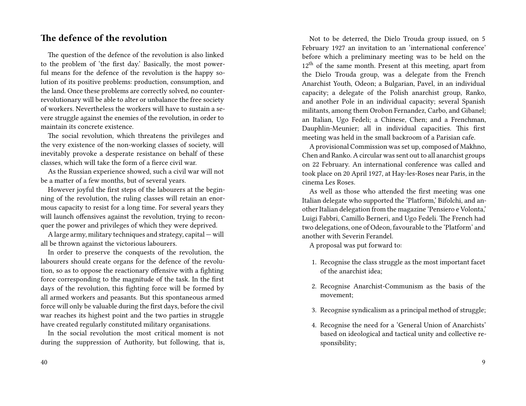### **The defence of the revolution**

The question of the defence of the revolution is also linked to the problem of 'the first day.' Basically, the most powerful means for the defence of the revolution is the happy solution of its positive problems: production, consumption, and the land. Once these problems are correctly solved, no counterrevolutionary will be able to alter or unbalance the free society of workers. Nevertheless the workers will have to sustain a severe struggle against the enemies of the revolution, in order to maintain its concrete existence.

The social revolution, which threatens the privileges and the very existence of the non-working classes of society, will inevitably provoke a desperate resistance on behalf of these classes, which will take the form of a fierce civil war.

As the Russian experience showed, such a civil war will not be a matter of a few months, but of several years.

However joyful the first steps of the labourers at the beginning of the revolution, the ruling classes will retain an enormous capacity to resist for a long time. For several years they will launch offensives against the revolution, trying to reconquer the power and privileges of which they were deprived.

A large army, military techniques and strategy, capital — will all be thrown against the victorious labourers.

In order to preserve the conquests of the revolution, the labourers should create organs for the defence of the revolution, so as to oppose the reactionary offensive with a fighting force corresponding to the magnitude of the task. In the first days of the revolution, this fighting force will be formed by all armed workers and peasants. But this spontaneous armed force will only be valuable during the first days, before the civil war reaches its highest point and the two parties in struggle have created regularly constituted military organisations.

In the social revolution the most critical moment is not during the suppression of Authority, but following, that is,

Not to be deterred, the Dielo Trouda group issued, on 5 February 1927 an invitation to an 'international conference' before which a preliminary meeting was to be held on the  $12<sup>th</sup>$  of the same month. Present at this meeting, apart from the Dielo Trouda group, was a delegate from the French Anarchist Youth, Odeon; a Bulgarian, Pavel, in an individual capacity; a delegate of the Polish anarchist group, Ranko, and another Pole in an individual capacity; several Spanish militants, among them Orobon Fernandez, Carbo, and Gibanel; an Italian, Ugo Fedeli; a Chinese, Chen; and a Frenchman, Dauphlin-Meunier; all in individual capacities. This first meeting was held in the small backroom of a Parisian cafe.

A provisional Commission was set up, composed of Makhno, Chen and Ranko. A circular was sent out to all anarchist groups on 22 February. An international conference was called and took place on 20 April 1927, at Hay-les-Roses near Paris, in the cinema Les Roses.

As well as those who attended the first meeting was one Italian delegate who supported the 'Platform,' Bifolchi, and another Italian delegation from the magazine 'Pensiero e Volonta,' Luigi Fabbri, Camillo Berneri, and Ugo Fedeli. The French had two delegations, one of Odeon, favourable to the 'Platform' and another with Severin Ferandel.

A proposal was put forward to:

- 1. Recognise the class struggle as the most important facet of the anarchist idea;
- 2. Recognise Anarchist-Communism as the basis of the movement;
- 3. Recognise syndicalism as a principal method of struggle;
- 4. Recognise the need for a 'General Union of Anarchists' based on ideological and tactical unity and collective responsibility;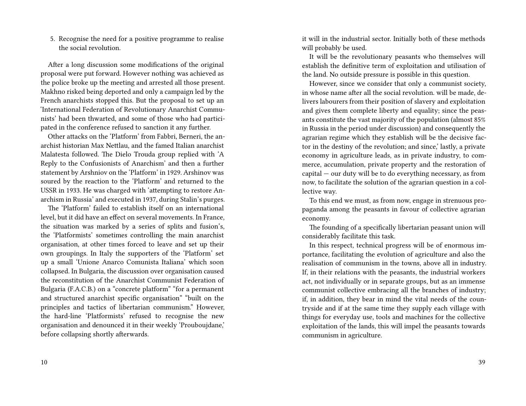5. Recognise the need for a positive programme to realise the social revolution.

After a long discussion some modifications of the original proposal were put forward. However nothing was achieved as the police broke up the meeting and arrested all those present. Makhno risked being deported and only a campaign led by the French anarchists stopped this. But the proposal to set up an 'International Federation of Revolutionary Anarchist Communists' had been thwarted, and some of those who had participated in the conference refused to sanction it any further.

Other attacks on the 'Platform' from Fabbri, Berneri, the anarchist historian Max Nettlau, and the famed Italian anarchist Malatesta followed. The Dielo Trouda group replied with 'A Reply to the Confusionists of Anarchism' and then a further statement by Arshniov on the 'Platform' in 1929. Arshinov was soured by the reaction to the 'Platform' and returned to the USSR in 1933. He was charged with 'attempting to restore Anarchism in Russia' and executed in 1937, during Stalin's purges.

The 'Platform' failed to establish itself on an international level, but it did have an effect on several movements. In France, the situation was marked by a series of splits and fusion's, the 'Platformists' sometimes controlling the main anarchist organisation, at other times forced to leave and set up their own groupings. In Italy the supporters of the 'Platform' set up a small 'Unione Anarco Comunista Italiana' which soon collapsed. In Bulgaria, the discussion over organisation caused the reconstitution of the Anarchist Communist Federation of Bulgaria (F.A.C.B.) on a "concrete platform" "for a permanent and structured anarchist specific organisation" "built on the principles and tactics of libertarian communism." However, the hard-line 'Platformists' refused to recognise the new organisation and denounced it in their weekly 'Prouboujdane,' before collapsing shortly afterwards.

10

it will in the industrial sector. Initially both of these methods will probably be used.

It will be the revolutionary peasants who themselves will establish the definitive term of exploitation and utilisation of the land. No outside pressure is possible in this question.

However, since we consider that only a communist society, in whose name after all the social revolution. will be made, delivers labourers from their position of slavery and exploitation and gives them complete liberty and equality; since the peasants constitute the vast majority of the population (almost 85% in Russia in the period under discussion) and consequently the agrarian regime which they establish will be the decisive factor in the destiny of the revolution; and since,' lastly, a private economy in agriculture leads, as in private industry, to commerce, accumulation, private property and the restoration of capital — our duty will be to do everything necessary, as from now, to facilitate the solution of the agrarian question in a collective way.

To this end we must, as from now, engage in strenuous propaganda among the peasants in favour of collective agrarian economy.

The founding of a specifically libertarian peasant union will considerably facilitate this task.

In this respect, technical progress will be of enormous importance, facilitating the evolution of agriculture and also the realisation of communism in the towns, above all in industry. If, in their relations with the peasants, the industrial workers act, not individually or in separate groups, but as an immense communist collective embracing all the branches of industry; if, in addition, they bear in mind the vital needs of the countryside and if at the same time they supply each village with things for everyday use, tools and machines for the collective exploitation of the lands, this will impel the peasants towards communism in agriculture.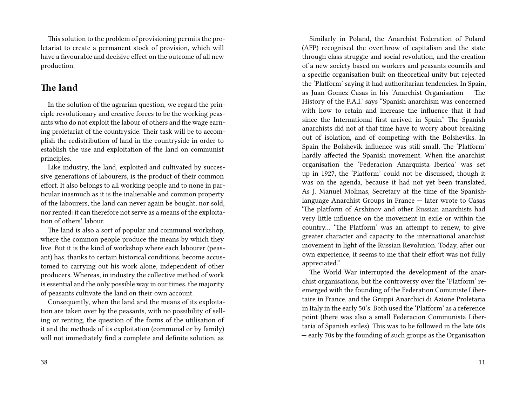This solution to the problem of provisioning permits the proletariat to create a permanent stock of provision, which will have a favourable and decisive effect on the outcome of all new production.

### **The land**

In the solution of the agrarian question, we regard the principle revolutionary and creative forces to be the working peasants who do not exploit the labour of others and the wage earning proletariat of the countryside. Their task will be to accomplish the redistribution of land in the countryside in order to establish the use and exploitation of the land on communist principles.

Like industry, the land, exploited and cultivated by successive generations of labourers, is the product of their common effort. It also belongs to all working people and to none in particular inasmuch as it is the inalienable and common property of the labourers, the land can never again be bought, nor sold, nor rented: it can therefore not serve as a means of the exploitation of others' labour.

The land is also a sort of popular and communal workshop, where the common people produce the means by which they live. But it is the kind of workshop where each labourer (peasant) has, thanks to certain historical conditions, become accustomed to carrying out his work alone, independent of other producers. Whereas, in industry the collective method of work is essential and the only possible way in our times, the majority of peasants cultivate the land on their own account.

Consequently, when the land and the means of its exploitation are taken over by the peasants, with no possibility of selling or renting, the question of the forms of the utilisation of it and the methods of its exploitation (communal or by family) will not immediately find a complete and definite solution, as

Similarly in Poland, the Anarchist Federation of Poland (AFP) recognised the overthrow of capitalism and the state through class struggle and social revolution, and the creation of a new society based on workers and peasants councils and a specific organisation built on theoretical unity but rejected the 'Platform' saying it had authoritarian tendencies. In Spain, as Juan Gomez Casas in his 'Anarchist Organisation — The History of the F.A.I.' says "Spanish anarchism was concerned with how to retain and increase the influence that it had since the International first arrived in Spain." The Spanish anarchists did not at that time have to worry about breaking out of isolation, and of competing with the Bolsheviks. In Spain the Bolshevik influence was still small. The 'Platform' hardly affected the Spanish movement. When the anarchist organisation the 'Federacion Anarquista Iberica' was set up in 1927, the 'Platform' could not be discussed, though it was on the agenda, because it had not yet been translated. As J. Manuel Molinas, Secretary at the time of the Spanishlanguage Anarchist Groups in France — later wrote to Casas 'The platform of Arshinov and other Russian anarchists had very little influence on the movement in exile or within the country… 'The Platform' was an attempt to renew, to give greater character and capacity to the international anarchist movement in light of the Russian Revolution. Today, after our own experience, it seems to me that their effort was not fully appreciated."

The World War interrupted the development of the anarchist organisations, but the controversy over the 'Platform' reemerged with the founding of the Federation Comuniste Libertaire in France, and the Gruppi Anarchici di Azione Proletaria in Italy in the early 50's. Both used the 'Platform' as a reference point (there was also a small Federacion Communista Libertaria of Spanish exiles). This was to be followed in the late 60s — early 70s by the founding of such groups as the Organisation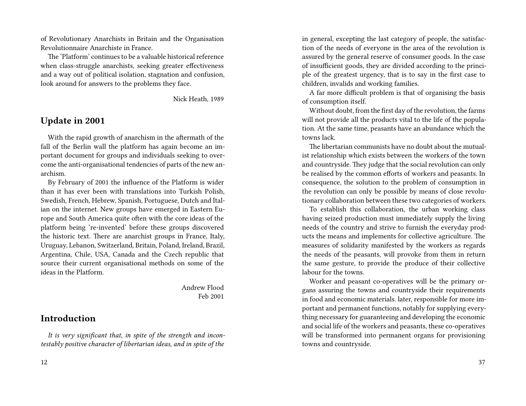of Revolutionary Anarchists in Britain and the Organisation Revolutionnaire Anarchiste in France.

The 'Platform' continues to be a valuable historical reference when class-struggle anarchists, seeking greater effectiveness and a way out of political isolation, stagnation and confusion, look around for answers to the problems they face.

Nick Heath, 1989

### **Update in 2001**

With the rapid growth of anarchism in the aftermath of the fall of the Berlin wall the platform has again become an important document for groups and individuals seeking to overcome the anti-organisational tendencies of parts of the new anarchism.

By February of 2001 the influence of the Platform is wider than it has ever been with translations into Turkish Polish, Swedish, French, Hebrew, Spanish, Portuguese, Dutch and Italian on the internet. New groups have emerged in Eastern Europe and South America quite often with the core ideas of the platform being 're-invented' before these groups discovered the historic text. There are anarchist groups in France, Italy, Uruguay, Lebanon, Switzerland, Britain, Poland, Ireland, Brazil, Argentina, Chile, USA, Canada and the Czech republic that source their current organisational methods on some of the ideas in the Platform.

> Andrew Flood Feb 2001

#### **Introduction**

*It is very significant that, in spite of the strength and incontestably positive character of libertarian ideas, and in spite of the*

in general, excepting the last category of people, the satisfaction of the needs of everyone in the area of the revolution is assured by the general reserve of consumer goods. In the case of insufficient goods, they are divided according to the principle of the greatest urgency, that is to say in the first case to children, invalids and working families.

A far more difficult problem is that of organising the basis of consumption itself.

Without doubt, from the first day of the revolution, the farms will not provide all the products vital to the life of the population. At the same time, peasants have an abundance which the towns lack.

The libertarian communists have no doubt about the mutualist relationship which exists between the workers of the town and countryside. They judge that the social revolution can only be realised by the common efforts of workers and peasants. In consequence, the solution to the problem of consumption in the revolution can only be possible by means of close revolutionary collaboration between these two categories of workers.

To establish this collaboration, the urban working class having seized production must immediately supply the living needs of the country and strive to furnish the everyday products the means and implements for collective agriculture. The measures of solidarity manifested by the workers as regards the needs of the peasants, will provoke from them in return the same gesture, to provide the produce of their collective labour for the towns.

Worker and peasant co-operatives will be the primary organs assuring the towns and countryside their requirements in food and economic materials. later, responsible for more important and permanent functions, notably for supplying everything necessary for guaranteeing and developing the economic and social life of the workers and peasants, these co-operatives will be transformed into permanent organs for provisioning towns and countryside.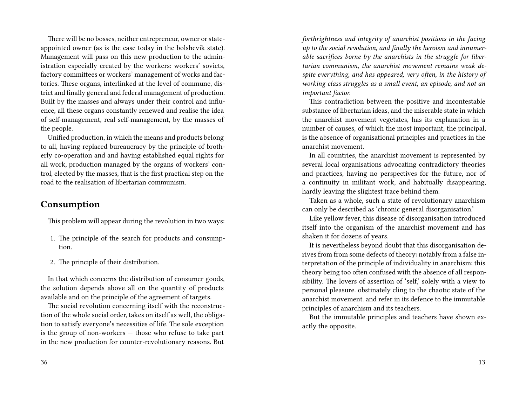There will be no bosses, neither entrepreneur, owner or stateappointed owner (as is the case today in the bolshevik state). Management will pass on this new production to the administration especially created by the workers: workers' soviets, factory committees or workers' management of works and factories. These organs, interlinked at the level of commune, district and finally general and federal management of production. Built by the masses and always under their control and influence, all these organs constantly renewed and realise the idea of self-management, real self-management, by the masses of the people.

Unified production, in which the means and products belong to all, having replaced bureaucracy by the principle of brotherly co-operation and and having established equal rights for all work, production managed by the organs of workers' control, elected by the masses, that is the first practical step on the road to the realisation of libertarian communism.

### **Consumption**

This problem will appear during the revolution in two ways:

- 1. The principle of the search for products and consumption.
- 2. The principle of their distribution.

In that which concerns the distribution of consumer goods, the solution depends above all on the quantity of products available and on the principle of the agreement of targets.

The social revolution concerning itself with the reconstruction of the whole social order, takes on itself as well, the obligation to satisfy everyone's necessities of life. The sole exception is the group of non-workers — those who refuse to take part in the new production for counter-revolutionary reasons. But

*forthrightness and integrity of anarchist positions in the facing up to the social revolution, and finally the heroism and innumerable sacrifices borne by the anarchists in the struggle for libertarian communism, the anarchist movement remains weak despite everything, and has appeared, very often, in the history of working class struggles as a small event, an episode, and not an important factor.*

This contradiction between the positive and incontestable substance of libertarian ideas, and the miserable state in which the anarchist movement vegetates, has its explanation in a number of causes, of which the most important, the principal, is the absence of organisational principles and practices in the anarchist movement.

In all countries, the anarchist movement is represented by several local organisations advocating contradictory theories and practices, having no perspectives for the future, nor of a continuity in militant work, and habitually disappearing, hardly leaving the slightest trace behind them.

Taken as a whole, such a state of revolutionary anarchism can only be described as 'chronic general disorganisation.'

Like yellow fever, this disease of disorganisation introduced itself into the organism of the anarchist movement and has shaken it for dozens of years.

It is nevertheless beyond doubt that this disorganisation derives from from some defects of theory: notably from a false interpretation of the principle of individuality in anarchism: this theory being too often confused with the absence of all responsibility. The lovers of assertion of 'self,' solely with a view to personal pleasure. obstinately cling to the chaotic state of the anarchist movement. and refer in its defence to the immutable principles of anarchism and its teachers.

But the immutable principles and teachers have shown exactly the opposite.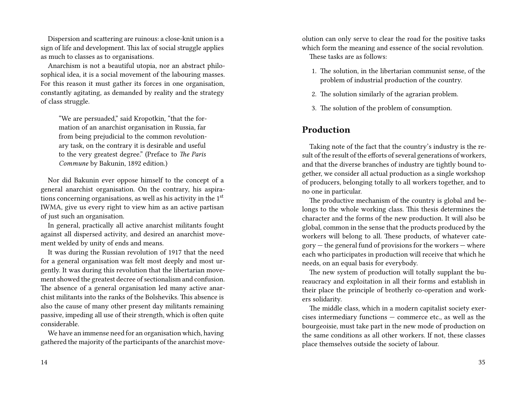Dispersion and scattering are ruinous: a close-knit union is a sign of life and development. This lax of social struggle applies as much to classes as to organisations.

Anarchism is not a beautiful utopia, nor an abstract philosophical idea, it is a social movement of the labouring masses. For this reason it must gather its forces in one organisation, constantly agitating, as demanded by reality and the strategy of class struggle.

"We are persuaded," said Kropotkin, "that the formation of an anarchist organisation in Russia, far from being prejudicial to the common revolutionary task, on the contrary it is desirable and useful to the very greatest degree." (Preface to *The Paris Commune* by Bakunin, 1892 edition.)

Nor did Bakunin ever oppose himself to the concept of a general anarchist organisation. On the contrary, his aspirations concerning organisations, as well as his activity in the 1st IWMA, give us every right to view him as an active partisan of just such an organisation.

In general, practically all active anarchist militants fought against all dispersed activity, and desired an anarchist movement welded by unity of ends and means.

It was during the Russian revolution of 1917 that the need for a general organisation was felt most deeply and most urgently. It was during this revolution that the libertarian movement showed the greatest decree of sectionalism and confusion. The absence of a general organisation led many active anarchist militants into the ranks of the Bolsheviks. This absence is also the cause of many other present day militants remaining passive, impeding all use of their strength, which is often quite considerable.

We have an immense need for an organisation which, having gathered the majority of the participants of the anarchist moveolution can only serve to clear the road for the positive tasks which form the meaning and essence of the social revolution. These tasks are as follows:

- 1. The solution, in the libertarian communist sense, of the problem of industrial production of the country.
- 2. The solution similarly of the agrarian problem.
- 3. The solution of the problem of consumption.

### **Production**

Taking note of the fact that the country's industry is the result of the result of the efforts of several generations of workers, and that the diverse branches of industry are tightly bound together, we consider all actual production as a single workshop of producers, belonging totally to all workers together, and to no one in particular.

The productive mechanism of the country is global and belongs to the whole working class. This thesis determines the character and the forms of the new production. It will also be global, common in the sense that the products produced by the workers will belong to all. These products, of whatever cate $gory$  – the general fund of provisions for the workers – where each who participates in production will receive that which he needs, on an equal basis for everybody.

The new system of production will totally supplant the bureaucracy and exploitation in all their forms and establish in their place the principle of brotherly co-operation and workers solidarity.

The middle class, which in a modern capitalist society exercises intermediary functions — commerce etc., as well as the bourgeoisie, must take part in the new mode of production on the same conditions as all other workers. If not, these classes place themselves outside the society of labour.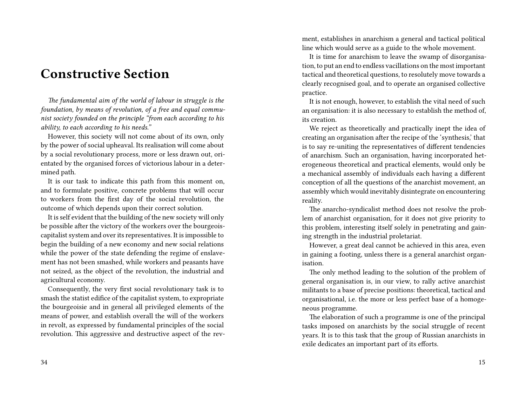# **Constructive Section**

*The fundamental aim of the world of labour in struggle is the foundation, by means of revolution, of a free and equal communist society founded on the principle "from each according to his ability, to each according to his needs."*

However, this society will not come about of its own, only by the power of social upheaval. Its realisation will come about by a social revolutionary process, more or less drawn out, orientated by the organised forces of victorious labour in a determined path.

It is our task to indicate this path from this moment on, and to formulate positive, concrete problems that will occur to workers from the first day of the social revolution, the outcome of which depends upon their correct solution.

It is self evident that the building of the new society will only be possible after the victory of the workers over the bourgeoiscapitalist system and over its representatives. It is impossible to begin the building of a new economy and new social relations while the power of the state defending the regime of enslavement has not been smashed, while workers and peasants have not seized, as the object of the revolution, the industrial and agricultural economy.

Consequently, the very first social revolutionary task is to smash the statist edifice of the capitalist system, to expropriate the bourgeoisie and in general all privileged elements of the means of power, and establish overall the will of the workers in revolt, as expressed by fundamental principles of the social revolution. This aggressive and destructive aspect of the rev-

34

ment, establishes in anarchism a general and tactical political line which would serve as a guide to the whole movement.

It is time for anarchism to leave the swamp of disorganisation, to put an end to endless vacillations on the most important tactical and theoretical questions, to resolutely move towards a clearly recognised goal, and to operate an organised collective practice.

It is not enough, however, to establish the vital need of such an organisation: it is also necessary to establish the method of, its creation.

We reject as theoretically and practically inept the idea of creating an organisation after the recipe of the 'synthesis,' that is to say re-uniting the representatives of different tendencies of anarchism. Such an organisation, having incorporated heterogeneous theoretical and practical elements, would only be a mechanical assembly of individuals each having a different conception of all the questions of the anarchist movement, an assembly which would inevitably disintegrate on encountering reality.

The anarcho-syndicalist method does not resolve the problem of anarchist organisation, for it does not give priority to this problem, interesting itself solely in penetrating and gaining strength in the industrial proletariat.

However, a great deal cannot be achieved in this area, even in gaining a footing, unless there is a general anarchist organisation.

The only method leading to the solution of the problem of general organisation is, in our view, to rally active anarchist militants to a base of precise positions: theoretical, tactical and organisational, i.e. the more or less perfect base of a homogeneous programme.

The elaboration of such a programme is one of the principal tasks imposed on anarchists by the social struggle of recent years. It is to this task that the group of Russian anarchists in exile dedicates an important part of its efforts.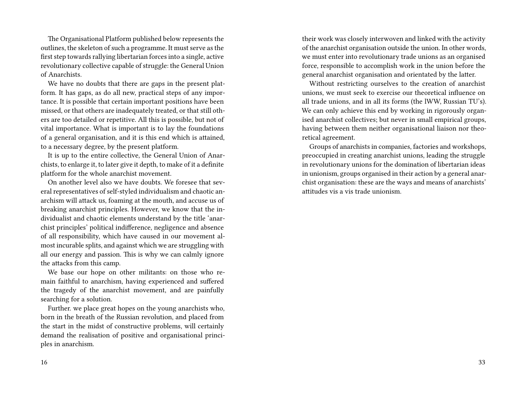The Organisational Platform published below represents the outlines, the skeleton of such a programme. It must serve as the first step towards rallying libertarian forces into a single, active revolutionary collective capable of struggle: the General Union of Anarchists.

We have no doubts that there are gaps in the present platform. It has gaps, as do all new, practical steps of any importance. It is possible that certain important positions have been missed, or that others are inadequately treated, or that still others are too detailed or repetitive. All this is possible, but not of vital importance. What is important is to lay the foundations of a general organisation, and it is this end which is attained, to a necessary degree, by the present platform.

It is up to the entire collective, the General Union of Anarchists, to enlarge it, to later give it depth, to make of it a definite platform for the whole anarchist movement.

On another level also we have doubts. We foresee that several representatives of self-styled individualism and chaotic anarchism will attack us, foaming at the mouth, and accuse us of breaking anarchist principles. However, we know that the individualist and chaotic elements understand by the title 'anarchist principles' political indifference, negligence and absence of all responsibility, which have caused in our movement almost incurable splits, and against which we are struggling with all our energy and passion. This is why we can calmly ignore the attacks from this camp.

We base our hope on other militants: on those who remain faithful to anarchism, having experienced and suffered the tragedy of the anarchist movement, and are painfully searching for a solution.

Further. we place great hopes on the young anarchists who, born in the breath of the Russian revolution, and placed from the start in the midst of constructive problems, will certainly demand the realisation of positive and organisational principles in anarchism.

their work was closely interwoven and linked with the activity of the anarchist organisation outside the union. In other words, we must enter into revolutionary trade unions as an organised force, responsible to accomplish work in the union before the general anarchist organisation and orientated by the latter.

Without restricting ourselves to the creation of anarchist unions, we must seek to exercise our theoretical influence on all trade unions, and in all its forms (the lWW, Russian TU's). We can only achieve this end by working in rigorously organised anarchist collectives; but never in small empirical groups, having between them neither organisational liaison nor theoretical agreement.

Groups of anarchists in companies, factories and workshops, preoccupied in creating anarchist unions, leading the struggle in revolutionary unions for the domination of libertarian ideas in unionism, groups organised in their action by a general anarchist organisation: these are the ways and means of anarchists' attitudes vis a vis trade unionism.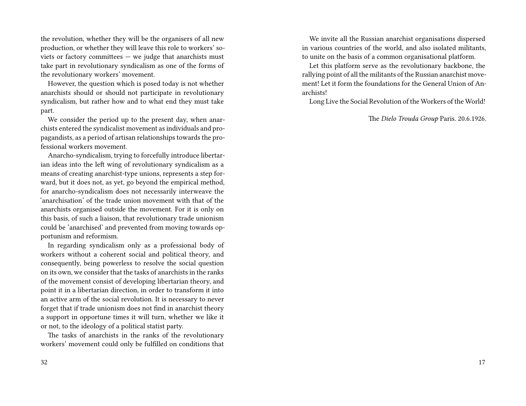the revolution, whether they will be the organisers of all new production, or whether they will leave this role to workers' soviets or factory committees — we judge that anarchists must take part in revolutionary syndicalism as one of the forms of the revolutionary workers' movement.

However, the question which is posed today is not whether anarchists should or should not participate in revolutionary syndicalism, but rather how and to what end they must take part.

We consider the period up to the present day, when anarchists entered the syndicalist movement as individuals and propagandists, as a period of artisan relationships towards the professional workers movement.

Anarcho-syndicalism, trying to forcefully introduce libertarian ideas into the left wing of revolutionary syndicalism as a means of creating anarchist-type unions, represents a step forward, but it does not, as yet, go beyond the empirical method, for anarcho-syndicalism does not necessarily interweave the 'anarchisation' of the trade union movement with that of the anarchists organised outside the movement. For it is only on this basis, of such a liaison, that revolutionary trade unionism could be 'anarchised' and prevented from moving towards opportunism and reformism.

In regarding syndicalism only as a professional body of workers without a coherent social and political theory, and consequently, being powerless to resolve the social question on its own, we consider that the tasks of anarchists in the ranks of the movement consist of developing libertarian theory, and point it in a libertarian direction, in order to transform it into an active arm of the social revolution. It is necessary to never forget that if trade unionism does not find in anarchist theory a support in opportune times it will turn, whether we like it or not, to the ideology of a political statist party.

The tasks of anarchists in the ranks of the revolutionary workers' movement could only be fulfilled on conditions that

We invite all the Russian anarchist organisations dispersed in various countries of the world, and also isolated militants, to unite on the basis of a common organisational platform.

Let this platform serve as the revolutionary backbone, the rallying point of all the militants of the Russian anarchist movement! Let it form the foundations for the General Union of Anarchists!

Long Live the Social Revolution of the Workers of the World!

The *Dielo Trouda Group* Paris. 20.6.1926.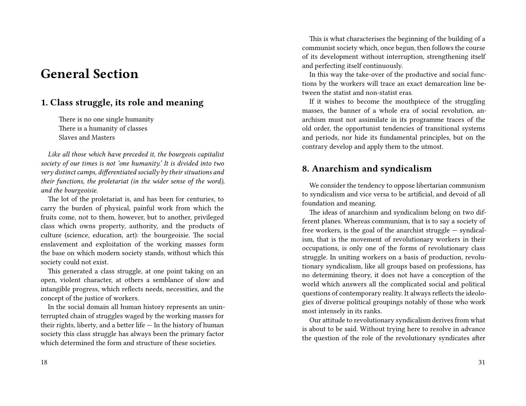# **General Section**

### **1. Class struggle, its role and meaning**

There is no one single humanity There is a humanity of classes Slaves and Masters

*Like all those which have preceded it, the bourgeois capitalist society of our times is not 'one humanity.' It is divided into two very distinct camps, differentiated socially by their situations and their functions, the proletariat (in the wider sense of the word), and the bourgeoisie.*

The lot of the proletariat is, and has been for centuries, to carry the burden of physical, painful work from which the fruits come, not to them, however, but to another, privileged class which owns property, authority, and the products of culture (science, education, art): the bourgeoisie. The social enslavement and exploitation of the working masses form the base on which modern society stands, without which this society could not exist.

This generated a class struggle, at one point taking on an open, violent character, at others a semblance of slow and intangible progress, which reflects needs, necessities, and the concept of the justice of workers.

In the social domain all human history represents an uninterrupted chain of struggles waged by the working masses for their rights, liberty, and a better life — In the history of human society this class struggle has always been the primary factor which determined the form and structure of these societies.

This is what characterises the beginning of the building of a communist society which, once begun, then follows the course of its development without interruption, strengthening itself and perfecting itself continuously.

In this way the take-over of the productive and social functions by the workers will trace an exact demarcation line between the statist and non-statist eras.

If it wishes to become the mouthpiece of the struggling masses, the banner of a whole era of social revolution, anarchism must not assimilate in its programme traces of the old order, the opportunist tendencies of transitional systems and periods, nor hide its fundamental principles, but on the contrary develop and apply them to the utmost.

### **8. Anarchism and syndicalism**

We consider the tendency to oppose libertarian communism to syndicalism and vice versa to be artificial, and devoid of all foundation and meaning.

The ideas of anarchism and syndicalism belong on two different planes. Whereas communism, that is to say a society of free workers, is the goal of the anarchist struggle — syndicalism, that is the movement of revolutionary workers in their occupations, is only one of the forms of revolutionary class struggle. In uniting workers on a basis of production, revolutionary syndicalism, like all groups based on professions, has no determining theory, it does not have a conception of the world which answers all the complicated social and political questions of contemporary reality. It always reflects the ideologies of diverse political groupings notably of those who work most intensely in its ranks.

Our attitude to revolutionary syndicalism derives from what is about to be said. Without trying here to resolve in advance the question of the role of the revolutionary syndicates after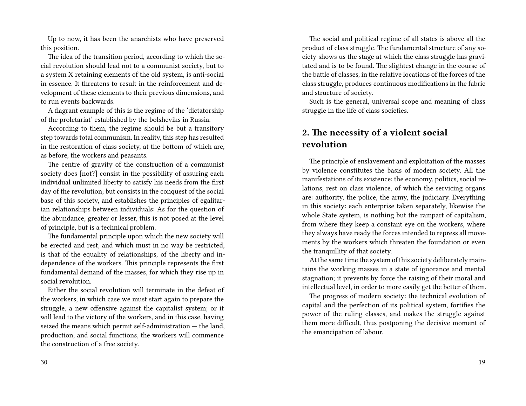Up to now, it has been the anarchists who have preserved this position.

The idea of the transition period, according to which the social revolution should lead not to a communist society, but to a system X retaining elements of the old system, is anti-social in essence. It threatens to result in the reinforcement and development of these elements to their previous dimensions, and to run events backwards.

A flagrant example of this is the regime of the 'dictatorship of the proletariat' established by the bolsheviks in Russia.

According to them, the regime should be but a transitory step towards total communism. In reality, this step has resulted in the restoration of class society, at the bottom of which are, as before, the workers and peasants.

The centre of gravity of the construction of a communist society does [not?] consist in the possibility of assuring each individual unlimited liberty to satisfy his needs from the first day of the revolution; but consists in the conquest of the social base of this society, and establishes the principles of egalitarian relationships between individuals: As for the question of the abundance, greater or lesser, this is not posed at the level of principle, but is a technical problem.

The fundamental principle upon which the new society will be erected and rest, and which must in no way be restricted, is that of the equality of relationships, of the liberty and independence of the workers. This principle represents the first fundamental demand of the masses, for which they rise up in social revolution.

Either the social revolution will terminate in the defeat of the workers, in which case we must start again to prepare the struggle, a new offensive against the capitalist system; or it will lead to the victory of the workers, and in this case, having seized the means which permit self-administration — the land, production, and social functions, the workers will commence the construction of a free society.

The social and political regime of all states is above all the product of class struggle. The fundamental structure of any society shows us the stage at which the class struggle has gravitated and is to be found. The slightest change in the course of the battle of classes, in the relative locations of the forces of the class struggle, produces continuous modifications in the fabric and structure of society.

Such is the general, universal scope and meaning of class struggle in the life of class societies.

### **2. The necessity of a violent social revolution**

The principle of enslavement and exploitation of the masses by violence constitutes the basis of modern society. All the manifestations of its existence: the economy, politics, social relations, rest on class violence, of which the servicing organs are: authority, the police, the army, the judiciary. Everything in this society: each enterprise taken separately, likewise the whole State system, is nothing but the rampart of capitalism, from where they keep a constant eye on the workers, where they always have ready the forces intended to repress all movements by the workers which threaten the foundation or even the tranquillity of that society.

At the same time the system of this society deliberately maintains the working masses in a state of ignorance and mental stagnation; it prevents by force the raising of their moral and intellectual level, in order to more easily get the better of them.

The progress of modern society: the technical evolution of capital and the perfection of its political system, fortifies the power of the ruling classes, and makes the struggle against them more difficult, thus postponing the decisive moment of the emancipation of labour.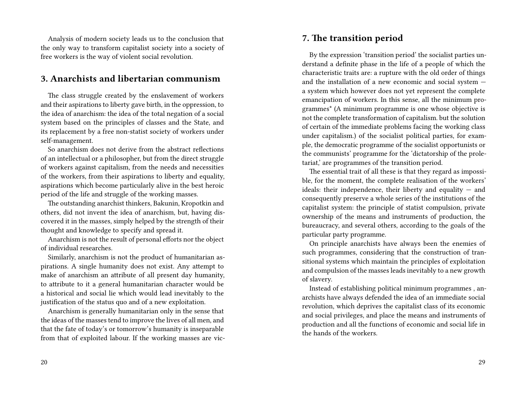Analysis of modern society leads us to the conclusion that the only way to transform capitalist society into a society of free workers is the way of violent social revolution.

#### **3. Anarchists and libertarian communism**

The class struggle created by the enslavement of workers and their aspirations to liberty gave birth, in the oppression, to the idea of anarchism: the idea of the total negation of a social system based on the principles of classes and the State, and its replacement by a free non-statist society of workers under self-management.

So anarchism does not derive from the abstract reflections of an intellectual or a philosopher, but from the direct struggle of workers against capitalism, from the needs and necessities of the workers, from their aspirations to liberty and equality, aspirations which become particularly alive in the best heroic period of the life and struggle of the working masses.

The outstanding anarchist thinkers, Bakunin, Kropotkin and others, did not invent the idea of anarchism, but, having discovered it in the masses, simply helped by the strength of their thought and knowledge to specify and spread it.

Anarchism is not the result of personal efforts nor the object of individual researches.

Similarly, anarchism is not the product of humanitarian aspirations. A single humanity does not exist. Any attempt to make of anarchism an attribute of all present day humanity, to attribute to it a general humanitarian character would be a historical and social lie which would lead inevitably to the justification of the status quo and of a new exploitation.

Anarchism is generally humanitarian only in the sense that the ideas of the masses tend to improve the lives of all men, and that the fate of today's or tomorrow's humanity is inseparable from that of exploited labour. If the working masses are vic-

#### **7. The transition period**

By the expression 'transition period' the socialist parties understand a definite phase in the life of a people of which the characteristic traits are: a rupture with the old order of things and the installation of a new economic and social system a system which however does not yet represent the complete emancipation of workers. In this sense, all the minimum programmes\* (A minimum programme is one whose objective is not the complete transformation of capitalism. but the solution of certain of the immediate problems facing the working class under capitalism.) of the socialist political parties, for example, the democratic programme of the socialist opportunists or the communists' programme for the 'dictatorship of the proletariat,' are programmes of the transition period.

The essential trait of all these is that they regard as impossible, for the moment, the complete realisation of the workers' ideals: their independence, their liberty and equality — and consequently preserve a whole series of the institutions of the capitalist system: the principle of statist compulsion, private ownership of the means and instruments of production, the bureaucracy, and several others, according to the goals of the particular party programme.

On principle anarchists have always been the enemies of such programmes, considering that the construction of transitional systems which maintain the principles of exploitation and compulsion of the masses leads inevitably to a new growth of slavery.

Instead of establishing political minimum programmes , anarchists have always defended the idea of an immediate social revolution, which deprives the capitalist class of its economic and social privileges, and place the means and instruments of production and all the functions of economic and social life in the hands of the workers.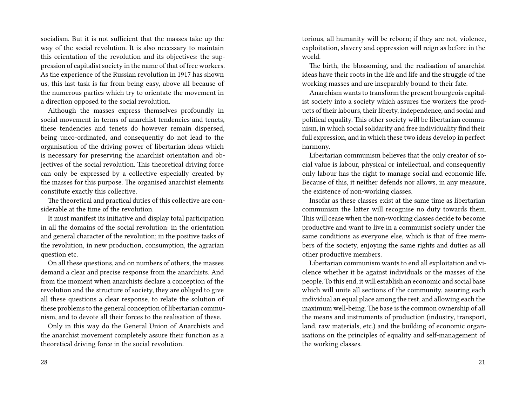socialism. But it is not sufficient that the masses take up the way of the social revolution. It is also necessary to maintain this orientation of the revolution and its objectives: the suppression of capitalist society in the name of that of free workers. As the experience of the Russian revolution in 1917 has shown us, this last task is far from being easy, above all because of the numerous parties which try to orientate the movement in a direction opposed to the social revolution.

Although the masses express themselves profoundly in social movement in terms of anarchist tendencies and tenets, these tendencies and tenets do however remain dispersed, being unco-ordinated, and consequently do not lead to the organisation of the driving power of libertarian ideas which is necessary for preserving the anarchist orientation and objectives of the social revolution. This theoretical driving force can only be expressed by a collective especially created by the masses for this purpose. The organised anarchist elements constitute exactly this collective.

The theoretical and practical duties of this collective are considerable at the time of the revolution.

It must manifest its initiative and display total participation in all the domains of the social revolution: in the orientation and general character of the revolution; in the positive tasks of the revolution, in new production, consumption, the agrarian question etc.

On all these questions, and on numbers of others, the masses demand a clear and precise response from the anarchists. And from the moment when anarchists declare a conception of the revolution and the structure of society, they are obliged to give all these questions a clear response, to relate the solution of these problems to the general conception of libertarian communism, and to devote all their forces to the realisation of these.

Only in this way do the General Union of Anarchists and the anarchist movement completely assure their function as a theoretical driving force in the social revolution.

torious, all humanity will be reborn; if they are not, violence, exploitation, slavery and oppression will reign as before in the world.

The birth, the blossoming, and the realisation of anarchist ideas have their roots in the life and life and the struggle of the working masses and are inseparably bound to their fate.

Anarchism wants to transform the present bourgeois capitalist society into a society which assures the workers the products of their labours, their liberty, independence, and social and political equality. This other society will be libertarian communism, in which social solidarity and free individuality find their full expression, and in which these two ideas develop in perfect harmony.

Libertarian communism believes that the only creator of social value is labour, physical or intellectual, and consequently only labour has the right to manage social and economic life. Because of this, it neither defends nor allows, in any measure, the existence of non-working classes.

Insofar as these classes exist at the same time as libertarian communism the latter will recognise no duty towards them. This will cease when the non-working classes decide to become productive and want to live in a communist society under the same conditions as everyone else, which is that of free members of the society, enjoying the same rights and duties as all other productive members.

Libertarian communism wants to end all exploitation and violence whether it be against individuals or the masses of the people. To this end, it will establish an economic and social base which will unite all sections of the community, assuring each individual an equal place among the rest, and allowing each the maximum well-being. The base is the common ownership of all the means and instruments of production (industry, transport, land, raw materials, etc.) and the building of economic organisations on the principles of equality and self-management of the working classes.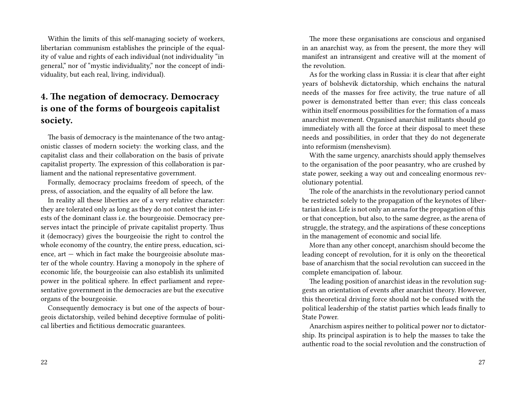Within the limits of this self-managing society of workers, libertarian communism establishes the principle of the equality of value and rights of each individual (not individuality "in general," nor of "mystic individuality," nor the concept of individuality, but each real, living, individual).

## **4. The negation of democracy. Democracy is one of the forms of bourgeois capitalist society.**

The basis of democracy is the maintenance of the two antagonistic classes of modern society: the working class, and the capitalist class and their collaboration on the basis of private capitalist property. The expression of this collaboration is parliament and the national representative government.

Formally, democracy proclaims freedom of speech, of the press, of association, and the equality of all before the law.

In reality all these liberties are of a very relative character: they are tolerated only as long as they do not contest the interests of the dominant class i.e. the bourgeoisie. Democracy preserves intact the principle of private capitalist property. Thus it (democracy) gives the bourgeoisie the right to control the whole economy of the country, the entire press, education, science, art — which in fact make the bourgeoisie absolute master of the whole country. Having a monopoly in the sphere of economic life, the bourgeoisie can also establish its unlimited power in the political sphere. In effect parliament and representative government in the democracies are but the executive organs of the bourgeoisie.

Consequently democracy is but one of the aspects of bourgeois dictatorship, veiled behind deceptive formulae of political liberties and fictitious democratic guarantees.

The more these organisations are conscious and organised in an anarchist way, as from the present, the more they will manifest an intransigent and creative will at the moment of the revolution.

As for the working class in Russia: it is clear that after eight years of bolshevik dictatorship, which enchains the natural needs of the masses for free activity, the true nature of all power is demonstrated better than ever; this class conceals within itself enormous possibilities for the formation of a mass anarchist movement. Organised anarchist militants should go immediately with all the force at their disposal to meet these needs and possibilities, in order that they do not degenerate into reformism (menshevism).

With the same urgency, anarchists should apply themselves to the organisation of the poor peasantry, who are crushed by state power, seeking a way out and concealing enormous revolutionary potential.

The role of the anarchists in the revolutionary period cannot be restricted solely to the propagation of the keynotes of libertarian ideas. Life is not only an arena for the propagation of this or that conception, but also, to the same degree, as the arena of struggle, the strategy, and the aspirations of these conceptions in the management of economic and social life.

More than any other concept, anarchism should become the leading concept of revolution, for it is only on the theoretical base of anarchism that the social revolution can succeed in the complete emancipation of. labour.

The leading position of anarchist ideas in the revolution suggests an orientation of events after anarchist theory. However, this theoretical driving force should not be confused with the political leadership of the statist parties which leads finally to State Power.

Anarchism aspires neither to political power nor to dictatorship. Its principal aspiration is to help the masses to take the authentic road to the social revolution and the construction of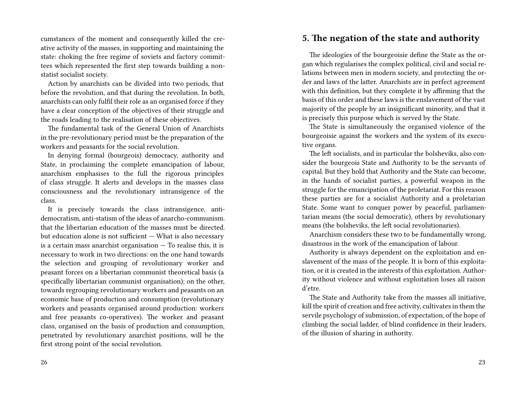cumstances of the moment and consequently killed the creative activity of the masses, in supporting and maintaining the state: choking the free regime of soviets and factory committees which represented the first step towards building a nonstatist socialist society.

Action by anarchists can be divided into two periods, that before the revolution, and that during the revolution. In both, anarchists can only fulfil their role as an organised force if they have a clear conception of the objectives of their struggle and the roads leading to the realisation of these objectives.

The fundamental task of the General Union of Anarchists in the pre-revolutionary period must be the preparation of the workers and peasants for the social revolution.

In denying formal (bourgeois) democracy, authority and State, in proclaiming the complete emancipation of labour, anarchism emphasises to the full the rigorous principles of class struggle. It alerts and develops in the masses class consciousness and the revolutionary intransigence of the class.

It is precisely towards the class intransigence, antidemocratism, anti-statism of the ideas of anarcho-communism. that the libertarian education of the masses must be directed. but education alone is not sufficient — What is also necessary is a certain mass anarchist organisation  $-$  To realise this, it is necessary to work in two directions: on the one hand towards the selection and grouping of revolutionary worker and peasant forces on a libertarian communist theoretical basis (a specifically libertarian communist organisation); on the other, towards regrouping revolutionary workers and peasants on an economic base of production and consumption (revolutionary workers and peasants organised around production: workers and free peasants co-operatives). The worker and peasant class, organised on the basis of production and consumption, penetrated by revolutionary anarchist positions, will be the first strong point of the social revolution.

#### 26

**5. The negation of the state and authority**

The ideologies of the bourgeoisie define the State as the organ which regularises the complex political, civil and social relations between men in modern society, and protecting the order and laws of the latter. Anarchists are in perfect agreement with this definition, but they complete it by affirming that the basis of this order and these laws is the enslavement of the vast majority of the people by an insignificant minority, and that it is precisely this purpose which is served by the State.

The State is simultaneously the organised violence of the bourgeoisie against the workers and the system of its executive organs.

The left socialists, and in particular the bolsheviks, also consider the bourgeois State and Authority to be the servants of capital. But they hold that Authority and the State can become, in the hands of socialist parties, a powerful weapon in the struggle for the emancipation of the proletariat. For this reason these parties are for a socialist Authority and a proletarian State. Some want to conquer power by peaceful, parliamentarian means (the social democratic), others by revolutionary means (the bolsheviks, the left social revolutionaries).

Anarchism considers these two to be fundamentally wrong, disastrous in the work of the emancipation of labour.

Authority is always dependent on the exploitation and enslavement of the mass of the people. It is born of this exploitation, or it is created in the interests of this exploitation. Authority without violence and without exploitation loses all raison d'etre.

The State and Authority take from the masses all initiative, kill the spirit of creation and free activity, cultivates in them the servile psychology of submission, of expectation, of the hope of climbing the social ladder, of blind confidence in their leaders, of the illusion of sharing in authority.